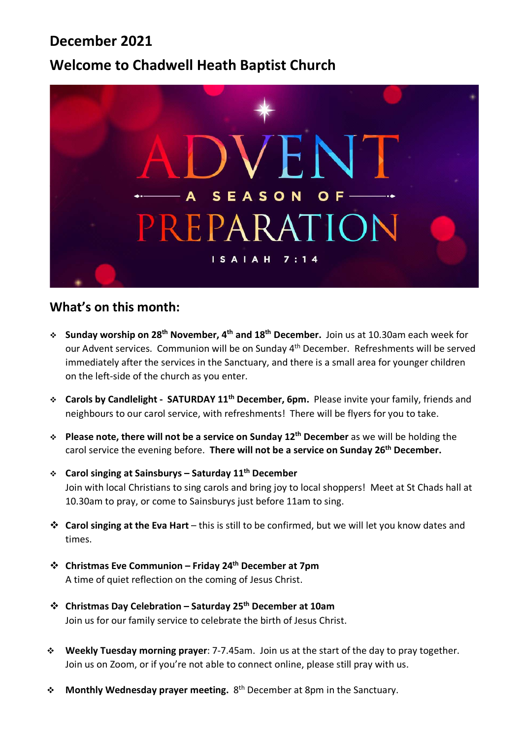## **December 2021**

# **Welcome to Chadwell Heath Baptist Church**



### **What's on this month:**

- **Sunday worship on 28th November, 4th and 18th December.** Join us at 10.30am each week for our Advent services. Communion will be on Sunday 4<sup>th</sup> December. Refreshments will be served immediately after the services in the Sanctuary, and there is a small area for younger children on the left-side of the church as you enter.
- **Carols by Candlelight SATURDAY 11th December, 6pm.** Please invite your family, friends and neighbours to our carol service, with refreshments! There will be flyers for you to take.
- **Please note, there will not be a service on Sunday 12th December** as we will be holding the carol service the evening before. **There will not be a service on Sunday 26th December.**
- **Carol singing at Sainsburys Saturday 11th December**  Join with local Christians to sing carols and bring joy to local shoppers! Meet at St Chads hall at 10.30am to pray, or come to Sainsburys just before 11am to sing.
- **Carol singing at the Eva Hart** this is still to be confirmed, but we will let you know dates and times.
- **Christmas Eve Communion Friday 24th December at 7pm**  A time of quiet reflection on the coming of Jesus Christ.
- **Christmas Day Celebration Saturday 25th December at 10am**  Join us for our family service to celebrate the birth of Jesus Christ.
- **Weekly Tuesday morning prayer**: 7-7.45am. Join us at the start of the day to pray together. Join us on Zoom, or if you're not able to connect online, please still pray with us.
- **Monthly Wednesday prayer meeting.** 8th December at 8pm in the Sanctuary.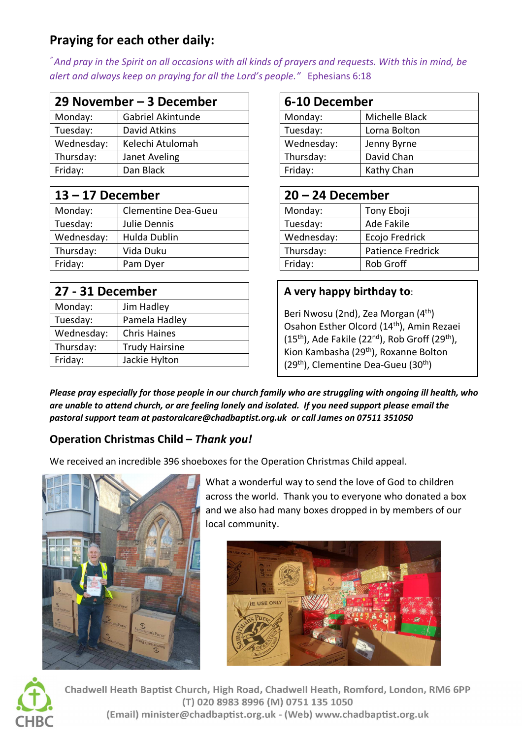# **Praying for each other daily:**

*" And pray in the Spirit on all occasions with all kinds of prayers and requests. With this in mind, be alert and always keep on praying for all the Lord's people."* Ephesians 6:18

| 29 November – 3 December |                   | 6-10 December |                |
|--------------------------|-------------------|---------------|----------------|
| Monday:                  | Gabriel Akintunde | Monday:       | Michelle Black |
| Tuesday:                 | David Atkins      | Tuesday:      | Lorna Bolton   |
| Wednesday:               | Kelechi Atulomah  | Wednesday:    | Jenny Byrne    |
| Thursday:                | Janet Aveling     | Thursday:     | David Chan     |
| Friday:                  | Dan Black         | Friday:       | Kathy Chan     |

| $13 - 17$ December |                            | $20 - 24$ December |                          |
|--------------------|----------------------------|--------------------|--------------------------|
| Monday:            | <b>Clementine Dea-Gueu</b> | Monday:            | Tony Eboji               |
| Tuesday:           | Julie Dennis               | Tuesday:           | Ade Fakile               |
| Wednesday:         | Hulda Dublin               | Wednesday:         | Ecojo Fredrick           |
| Thursday:          | Vida Duku                  | Thursday:          | <b>Patience Fredrick</b> |
| Friday:            | Pam Dyer                   | Friday:            | Rob Groff                |

| 27 - 31 December |                       |  |
|------------------|-----------------------|--|
| Monday:          | Jim Hadley            |  |
| Tuesday:         | Pamela Hadley         |  |
| Wednesday:       | <b>Chris Haines</b>   |  |
| Thursday:        | <b>Trudy Hairsine</b> |  |
| Friday:          | Jackie Hylton         |  |

| 6-10 December |                |  |
|---------------|----------------|--|
| Monday:       | Michelle Black |  |
| Tuesday:      | Lorna Bolton   |  |
| Wednesday:    | Jenny Byrne    |  |
| Thursday:     | David Chan     |  |
| Friday:       | Kathy Chan     |  |

| $20 - 24$ December |                          |  |
|--------------------|--------------------------|--|
| Monday:            | Tony Eboji               |  |
| Tuesday:           | Ade Fakile               |  |
| Wednesday:         | Ecojo Fredrick           |  |
| Thursday:          | <b>Patience Fredrick</b> |  |
| Friday:            | Rob Groff                |  |

### **A very happy birthday to**:

Beri Nwosu (2nd), Zea Morgan (4th) Osahon Esther Olcord (14th), Amin Rezaei  $(15<sup>th</sup>)$ , Ade Fakile (22<sup>nd</sup>), Rob Groff (29<sup>th</sup>), Kion Kambasha (29<sup>th</sup>), Roxanne Bolton (29<sup>th</sup>), Clementine Dea-Gueu (30<sup>th</sup>)

*Please pray especially for those people in our church family who are struggling with ongoing ill health, who are unable to attend church, or are feeling lonely and isolated. If you need support please email the pastoral support team at pastoralcare@chadbaptist.org.uk or call James on 07511 351050* 

## **Operation Christmas Child –** *Thank you!*

We received an incredible 396 shoeboxes for the Operation Christmas Child appeal.



What a wonderful way to send the love of God to children across the world. Thank you to everyone who donated a box and we also had many boxes dropped in by members of our local community.





Chadwell Heath Baptist Church, High Road, Chadwell Heath, Romford, London, RM6 6PP (T) 020 8983 8996 (M) 0751 135 1050 (Email) minister@chadbaptist.org.uk - (Web) www.chadbaptist.org.uk